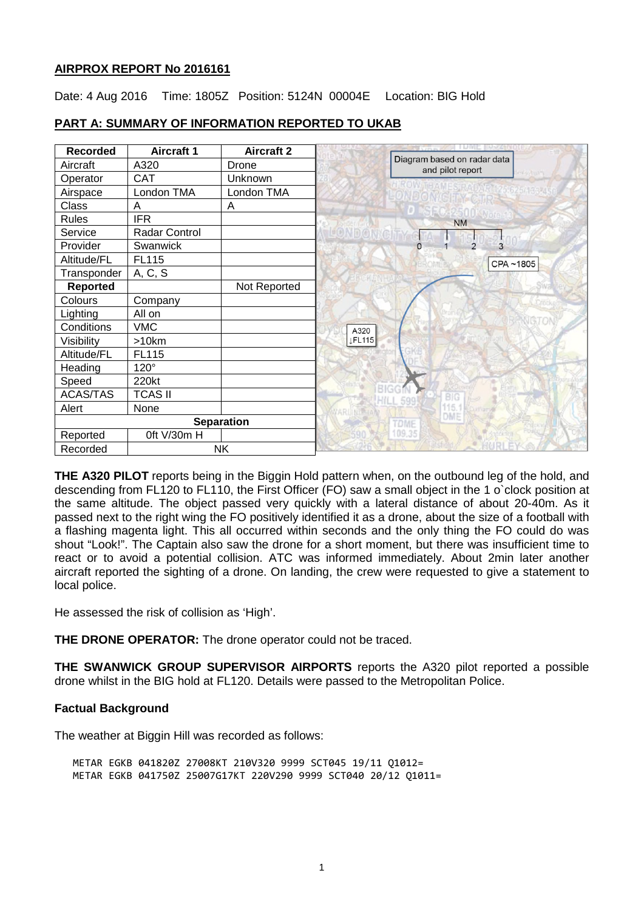## **AIRPROX REPORT No 2016161**

Date: 4 Aug 2016 Time: 1805Z Position: 5124N 00004E Location: BIG Hold

| <b>Recorded</b>   | <b>Aircraft 1</b> | <b>Aircraft 2</b> |                                                 |
|-------------------|-------------------|-------------------|-------------------------------------------------|
| Aircraft          | A320              | Drone             | Diagram based on radar data<br>and pilot report |
| Operator          | <b>CAT</b>        | Unknown           | levisy has?                                     |
| Airspace          | London TMA        | London TMA        |                                                 |
| Class             | A                 | A                 |                                                 |
| <b>Rules</b>      | <b>IFR</b>        |                   | <b>NM</b>                                       |
| Service           | Radar Control     |                   |                                                 |
| Provider          | Swanwick          |                   | 3<br>$\overline{2}$<br>O                        |
| Altitude/FL       | FL115             |                   | CPA~1805                                        |
| Transponder       | A, C, S           |                   |                                                 |
| Reported          |                   | Not Reported      |                                                 |
| Colours           | Company           |                   |                                                 |
| Lighting          | All on            |                   |                                                 |
| Conditions        | <b>VMC</b>        |                   | A320                                            |
| Visibility        | >10km             |                   | <b>JFL115</b>                                   |
| Altitude/FL       | FL115             |                   |                                                 |
| Heading           | $120^\circ$       |                   |                                                 |
| Speed             | 220kt             |                   |                                                 |
| ACAS/TAS          | <b>TCAS II</b>    |                   | <b>BIG</b>                                      |
| Alert             | None              |                   | DME                                             |
| <b>Separation</b> |                   |                   | <b>TDME</b>                                     |
| Reported          | Oft V/30m H       |                   | 109.35                                          |
| Recorded          | <b>NK</b>         |                   |                                                 |

## **PART A: SUMMARY OF INFORMATION REPORTED TO UKAB**

**THE A320 PILOT** reports being in the Biggin Hold pattern when, on the outbound leg of the hold, and descending from FL120 to FL110, the First Officer (FO) saw a small object in the 1 o`clock position at the same altitude. The object passed very quickly with a lateral distance of about 20-40m. As it passed next to the right wing the FO positively identified it as a drone, about the size of a football with a flashing magenta light. This all occurred within seconds and the only thing the FO could do was shout "Look!". The Captain also saw the drone for a short moment, but there was insufficient time to react or to avoid a potential collision. ATC was informed immediately. About 2min later another aircraft reported the sighting of a drone. On landing, the crew were requested to give a statement to local police.

He assessed the risk of collision as 'High'.

**THE DRONE OPERATOR:** The drone operator could not be traced.

**THE SWANWICK GROUP SUPERVISOR AIRPORTS** reports the A320 pilot reported a possible drone whilst in the BIG hold at FL120. Details were passed to the Metropolitan Police.

## **Factual Background**

The weather at Biggin Hill was recorded as follows:

METAR EGKB 041820Z 27008KT 210V320 9999 SCT045 19/11 Q1012= METAR EGKB 041750Z 25007G17KT 220V290 9999 SCT040 20/12 Q1011=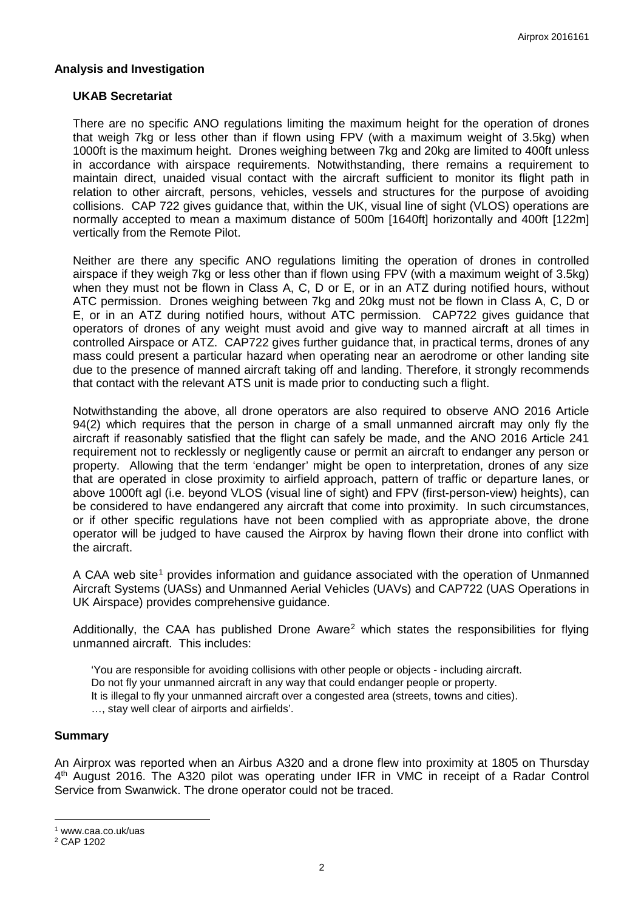## **Analysis and Investigation**

### **UKAB Secretariat**

There are no specific ANO regulations limiting the maximum height for the operation of drones that weigh 7kg or less other than if flown using FPV (with a maximum weight of 3.5kg) when 1000ft is the maximum height. Drones weighing between 7kg and 20kg are limited to 400ft unless in accordance with airspace requirements. Notwithstanding, there remains a requirement to maintain direct, unaided visual contact with the aircraft sufficient to monitor its flight path in relation to other aircraft, persons, vehicles, vessels and structures for the purpose of avoiding collisions. CAP 722 gives guidance that, within the UK, visual line of sight (VLOS) operations are normally accepted to mean a maximum distance of 500m [1640ft] horizontally and 400ft [122m] vertically from the Remote Pilot.

Neither are there any specific ANO regulations limiting the operation of drones in controlled airspace if they weigh 7kg or less other than if flown using FPV (with a maximum weight of 3.5kg) when they must not be flown in Class A, C, D or E, or in an ATZ during notified hours, without ATC permission. Drones weighing between 7kg and 20kg must not be flown in Class A, C, D or E, or in an ATZ during notified hours, without ATC permission. CAP722 gives guidance that operators of drones of any weight must avoid and give way to manned aircraft at all times in controlled Airspace or ATZ. CAP722 gives further guidance that, in practical terms, drones of any mass could present a particular hazard when operating near an aerodrome or other landing site due to the presence of manned aircraft taking off and landing. Therefore, it strongly recommends that contact with the relevant ATS unit is made prior to conducting such a flight.

Notwithstanding the above, all drone operators are also required to observe ANO 2016 Article 94(2) which requires that the person in charge of a small unmanned aircraft may only fly the aircraft if reasonably satisfied that the flight can safely be made, and the ANO 2016 Article 241 requirement not to recklessly or negligently cause or permit an aircraft to endanger any person or property. Allowing that the term 'endanger' might be open to interpretation, drones of any size that are operated in close proximity to airfield approach, pattern of traffic or departure lanes, or above 1000ft agl (i.e. beyond VLOS (visual line of sight) and FPV (first-person-view) heights), can be considered to have endangered any aircraft that come into proximity. In such circumstances, or if other specific regulations have not been complied with as appropriate above, the drone operator will be judged to have caused the Airprox by having flown their drone into conflict with the aircraft.

A CAA web site<sup>[1](#page-1-0)</sup> provides information and guidance associated with the operation of Unmanned Aircraft Systems (UASs) and Unmanned Aerial Vehicles (UAVs) and CAP722 (UAS Operations in UK Airspace) provides comprehensive guidance.

Additionally, the CAA has published Drone Aware<sup>[2](#page-1-1)</sup> which states the responsibilities for flying unmanned aircraft. This includes:

'You are responsible for avoiding collisions with other people or objects - including aircraft. Do not fly your unmanned aircraft in any way that could endanger people or property. It is illegal to fly your unmanned aircraft over a congested area (streets, towns and cities). …, stay well clear of airports and airfields'.

#### **Summary**

An Airprox was reported when an Airbus A320 and a drone flew into proximity at 1805 on Thursday 4th August 2016. The A320 pilot was operating under IFR in VMC in receipt of a Radar Control Service from Swanwick. The drone operator could not be traced.

l

<span id="page-1-0"></span><sup>1</sup> www.caa.co.uk/uas

<span id="page-1-1"></span><sup>2</sup> CAP 1202